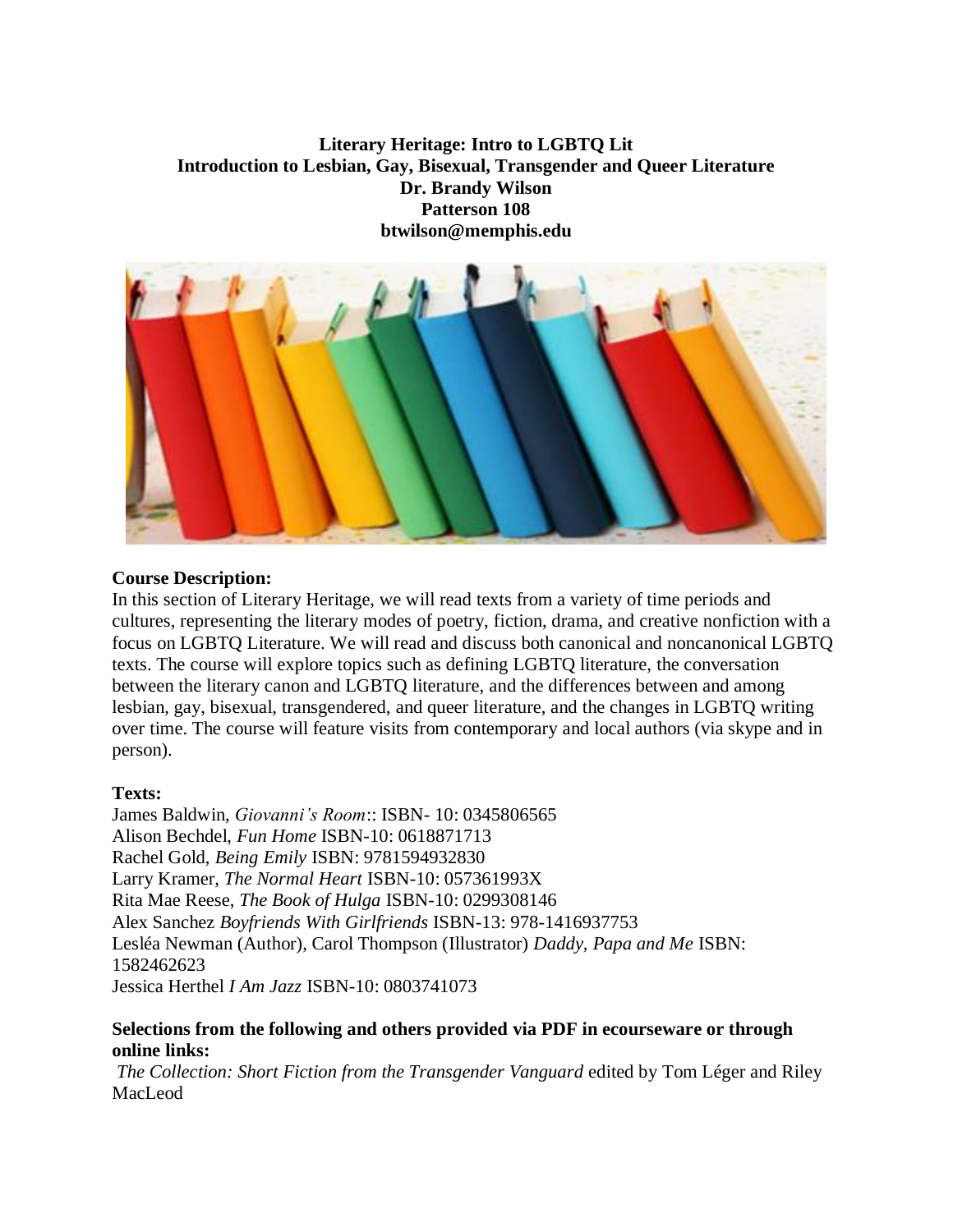# **Literary Heritage: Intro to LGBTQ Lit Introduction to Lesbian, Gay, Bisexual, Transgender and Queer Literature Dr. Brandy Wilson Patterson 108 btwilson@memphis.edu**



## **Course Description:**

In this section of Literary Heritage, we will read texts from a variety of time periods and cultures, representing the literary modes of poetry, fiction, drama, and creative nonfiction with a focus on LGBTQ Literature. We will read and discuss both canonical and noncanonical LGBTQ texts. The course will explore topics such as defining LGBTQ literature, the conversation between the literary canon and LGBTQ literature, and the differences between and among lesbian, gay, bisexual, transgendered, and queer literature, and the changes in LGBTQ writing over time. The course will feature visits from contemporary and local authors (via skype and in person).

### **Texts:**

James Baldwin, *Giovanni's Room*:: ISBN- 10: 0345806565 Alison Bechdel, *Fun Home* ISBN-10: 0618871713 Rachel Gold, *Being Emily* ISBN: 9781594932830 Larry Kramer, *The Normal Heart* ISBN-10: 057361993X Rita Mae Reese, *The Book of Hulga* ISBN-10: 0299308146 Alex Sanchez *Boyfriends With Girlfriends* ISBN-13: 978-1416937753 Lesléa Newman (Author), Carol Thompson (Illustrator) *Daddy, Papa and Me* ISBN: 1582462623 Jessica Herthel *I Am Jazz* ISBN-10: 0803741073

### **Selections from the following and others provided via PDF in ecourseware or through online links:**

*The Collection: Short Fiction from the Transgender Vanguard* edited by Tom Léger and Riley MacLeod